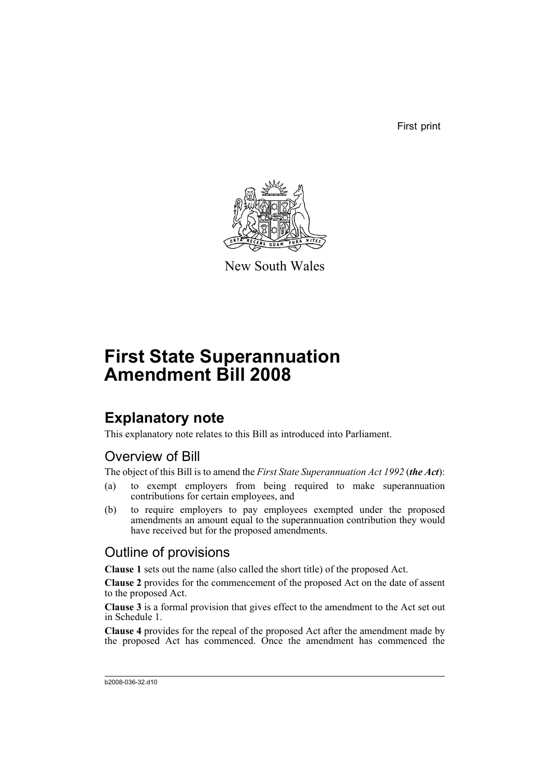First print



New South Wales

# **First State Superannuation Amendment Bill 2008**

## **Explanatory note**

This explanatory note relates to this Bill as introduced into Parliament.

### Overview of Bill

The object of this Bill is to amend the *First State Superannuation Act 1992* (*the Act*):

- (a) to exempt employers from being required to make superannuation contributions for certain employees, and
- (b) to require employers to pay employees exempted under the proposed amendments an amount equal to the superannuation contribution they would have received but for the proposed amendments.

### Outline of provisions

**Clause 1** sets out the name (also called the short title) of the proposed Act.

**Clause 2** provides for the commencement of the proposed Act on the date of assent to the proposed Act.

**Clause 3** is a formal provision that gives effect to the amendment to the Act set out in Schedule 1.

**Clause 4** provides for the repeal of the proposed Act after the amendment made by the proposed Act has commenced. Once the amendment has commenced the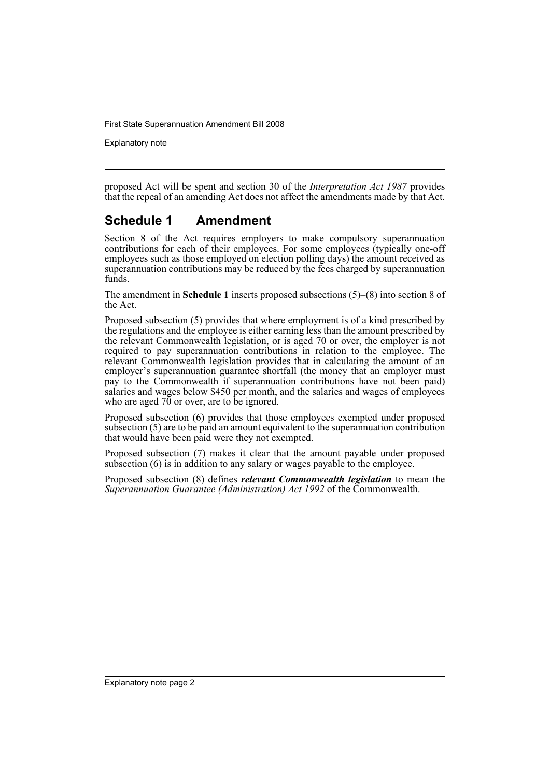First State Superannuation Amendment Bill 2008

Explanatory note

proposed Act will be spent and section 30 of the *Interpretation Act 1987* provides that the repeal of an amending Act does not affect the amendments made by that Act.

#### **Schedule 1 Amendment**

Section 8 of the Act requires employers to make compulsory superannuation contributions for each of their employees. For some employees (typically one-off employees such as those employed on election polling days) the amount received as superannuation contributions may be reduced by the fees charged by superannuation funds.

The amendment in **Schedule 1** inserts proposed subsections (5)–(8) into section 8 of the Act.

Proposed subsection (5) provides that where employment is of a kind prescribed by the regulations and the employee is either earning less than the amount prescribed by the relevant Commonwealth legislation, or is aged 70 or over, the employer is not required to pay superannuation contributions in relation to the employee. The relevant Commonwealth legislation provides that in calculating the amount of an employer's superannuation guarantee shortfall (the money that an employer must pay to the Commonwealth if superannuation contributions have not been paid) salaries and wages below \$450 per month, and the salaries and wages of employees who are aged  $70$  or over, are to be ignored.

Proposed subsection (6) provides that those employees exempted under proposed subsection (5) are to be paid an amount equivalent to the superannuation contribution that would have been paid were they not exempted.

Proposed subsection (7) makes it clear that the amount payable under proposed subsection (6) is in addition to any salary or wages payable to the employee.

Proposed subsection (8) defines *relevant Commonwealth legislation* to mean the *Superannuation Guarantee (Administration) Act 1992* of the Commonwealth.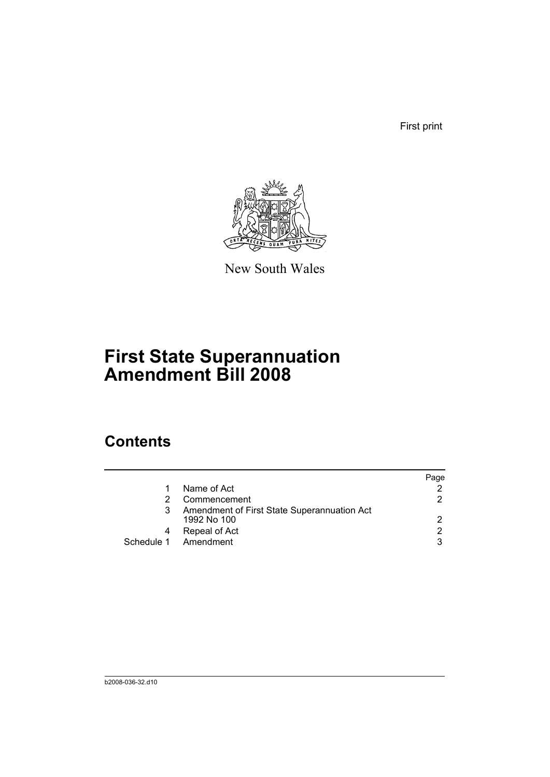First print



New South Wales

# **First State Superannuation Amendment Bill 2008**

## **Contents**

|                                                            | Page |
|------------------------------------------------------------|------|
| Name of Act                                                |      |
| Commencement                                               | 2    |
| Amendment of First State Superannuation Act<br>1992 No 100 | 2    |
| Repeal of Act                                              | 2    |
| Schedule 1 Amendment                                       | 3    |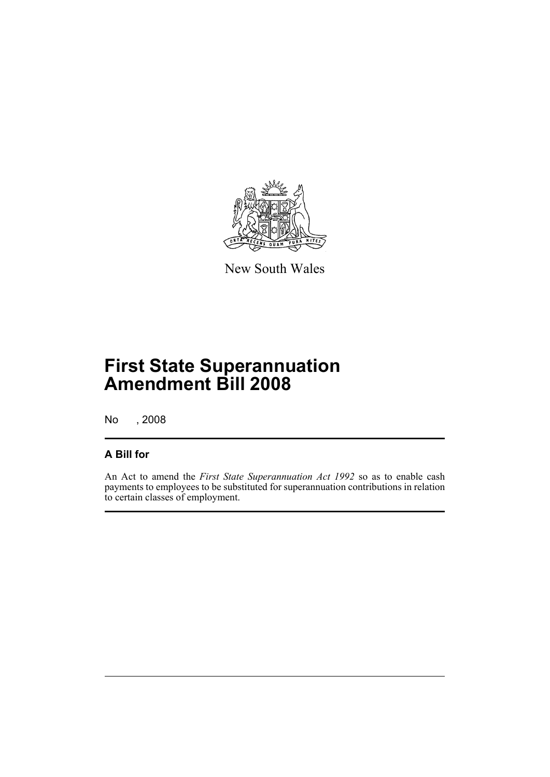

New South Wales

## **First State Superannuation Amendment Bill 2008**

No , 2008

#### **A Bill for**

An Act to amend the *First State Superannuation Act 1992* so as to enable cash payments to employees to be substituted for superannuation contributions in relation to certain classes of employment.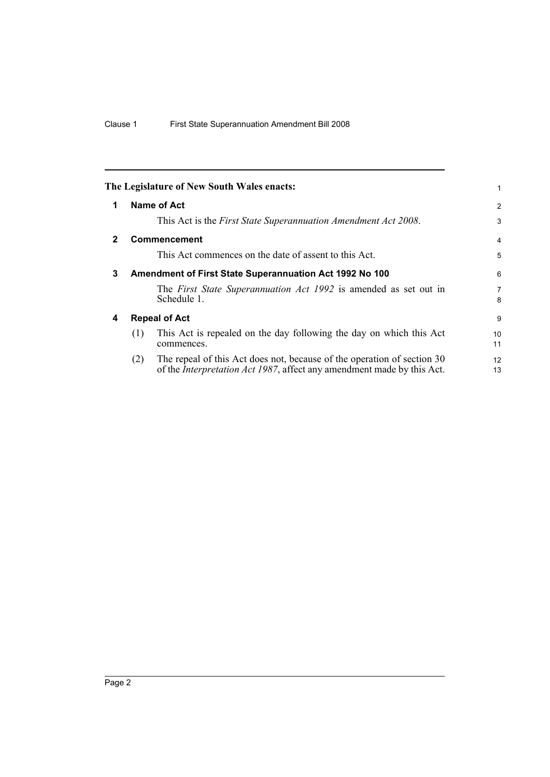<span id="page-5-3"></span><span id="page-5-2"></span><span id="page-5-1"></span><span id="page-5-0"></span>

|              |                    | The Legislature of New South Wales enacts:                                                                                                                | 1                   |
|--------------|--------------------|-----------------------------------------------------------------------------------------------------------------------------------------------------------|---------------------|
| 1            | <b>Name of Act</b> |                                                                                                                                                           | $\overline{2}$      |
|              |                    | This Act is the First State Superannuation Amendment Act 2008.                                                                                            | 3                   |
| $\mathbf{2}$ |                    | <b>Commencement</b>                                                                                                                                       | $\overline{4}$      |
|              |                    | This Act commences on the date of assent to this Act.                                                                                                     | 5                   |
| 3            |                    | Amendment of First State Superannuation Act 1992 No 100                                                                                                   | 6                   |
|              |                    | The First State Superannuation Act 1992 is amended as set out in<br>Schedule 1.                                                                           | $\overline{7}$<br>8 |
| 4            |                    | <b>Repeal of Act</b>                                                                                                                                      | 9                   |
|              | (1)                | This Act is repealed on the day following the day on which this Act<br>commences.                                                                         | 10<br>11            |
|              | (2)                | The repeal of this Act does not, because of the operation of section 30<br>of the <i>Interpretation Act 1987</i> , affect any amendment made by this Act. | 12<br>13            |